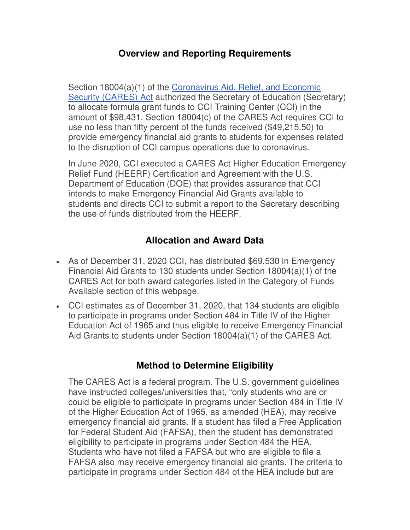## **Overview and Reporting Requirements**

Section 18004(a)(1) of the [Coronavirus Aid, Relief, and Economic](https://www2.ed.gov/programs/heerf/)  [Security \(CARES\) Act](https://www2.ed.gov/programs/heerf/) authorized the Secretary of Education (Secretary) to allocate formula grant funds to CCI Training Center (CCI) in the amount of \$98,431. Section 18004(c) of the CARES Act requires CCI to use no less than fifty percent of the funds received (\$49,215.50) to provide emergency financial aid grants to students for expenses related to the disruption of CCI campus operations due to coronavirus.

In June 2020, CCI executed a CARES Act Higher Education Emergency Relief Fund (HEERF) Certification and Agreement with the U.S. Department of Education (DOE) that provides assurance that CCI intends to make Emergency Financial Aid Grants available to students and directs CCI to submit a report to the Secretary describing the use of funds distributed from the HEERF.

# **Allocation and Award Data**

- As of December 31, 2020 CCI, has distributed \$69,530 in Emergency Financial Aid Grants to 130 students under Section 18004(a)(1) of the CARES Act for both award categories listed in the Category of Funds Available section of this webpage.
- CCI estimates as of December 31, 2020, that 134 students are eligible to participate in programs under Section 484 in Title IV of the Higher Education Act of 1965 and thus eligible to receive Emergency Financial Aid Grants to students under Section 18004(a)(1) of the CARES Act.

## **Method to Determine Eligibility**

The CARES Act is a federal program. The U.S. government guidelines have instructed colleges/universities that, "only students who are or could be eligible to participate in programs under Section 484 in Title IV of the Higher Education Act of 1965, as amended (HEA), may receive emergency financial aid grants. If a student has filed a Free Application for Federal Student Aid (FAFSA), then the student has demonstrated eligibility to participate in programs under Section 484 the HEA. Students who have not filed a FAFSA but who are eligible to file a FAFSA also may receive emergency financial aid grants. The criteria to participate in programs under Section 484 of the HEA include but are